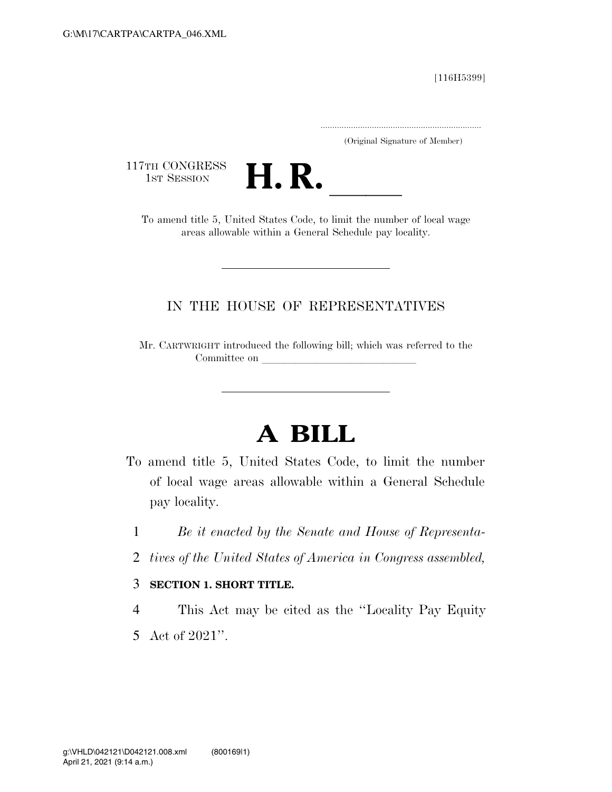[116H5399]

.....................................................................

(Original Signature of Member)

117TH CONGRESS<br>1st Session



TH CONGRESS<br>1st SESSION **H. R.** <u>Inited States Code</u>, to limit the number of local wage areas allowable within a General Schedule pay locality.

# IN THE HOUSE OF REPRESENTATIVES

Mr. CARTWRIGHT introduced the following bill; which was referred to the Committee on

# **A BILL**

- To amend title 5, United States Code, to limit the number of local wage areas allowable within a General Schedule pay locality.
	- 1 *Be it enacted by the Senate and House of Representa-*
	- 2 *tives of the United States of America in Congress assembled,*

## 3 **SECTION 1. SHORT TITLE.**

4 This Act may be cited as the ''Locality Pay Equity 5 Act of 2021''.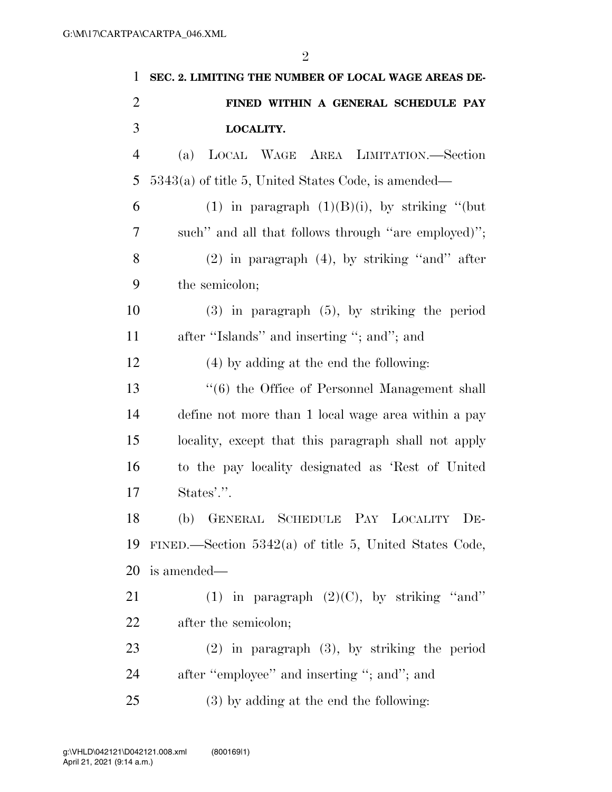| 1              | SEC. 2. LIMITING THE NUMBER OF LOCAL WAGE AREAS DE-      |
|----------------|----------------------------------------------------------|
| $\overline{2}$ | FINED WITHIN A GENERAL SCHEDULE PAY                      |
| 3              | LOCALITY.                                                |
| $\overline{4}$ | LOCAL WAGE AREA LIMITATION.—Section<br>(a)               |
| 5              | 5343(a) of title 5, United States Code, is amended—      |
| 6              | (1) in paragraph $(1)(B)(i)$ , by striking "(but         |
| 7              | such" and all that follows through "are employed)";      |
| 8              | $(2)$ in paragraph $(4)$ , by striking "and" after       |
| 9              | the semicolon;                                           |
| 10             | $(3)$ in paragraph $(5)$ , by striking the period        |
| 11             | after "Islands" and inserting "; and"; and               |
| 12             | $(4)$ by adding at the end the following:                |
| 13             | "(6) the Office of Personnel Management shall            |
| 14             | define not more than 1 local wage area within a pay      |
| 15             | locality, except that this paragraph shall not apply     |
| 16             | to the pay locality designated as 'Rest of United        |
| 17             | States'.".                                               |
| 18             | (b) GENERAL SCHEDULE PAY LOCALITY DE-                    |
| 19             | FINED.—Section $5342(a)$ of title 5, United States Code, |
| 20             | is amended—                                              |
| 21             | (1) in paragraph $(2)(C)$ , by striking "and"            |
| 22             | after the semicolon;                                     |
| 23             | $(2)$ in paragraph $(3)$ , by striking the period        |
| 24             | after "employee" and inserting "; and"; and              |
| 25             | (3) by adding at the end the following:                  |